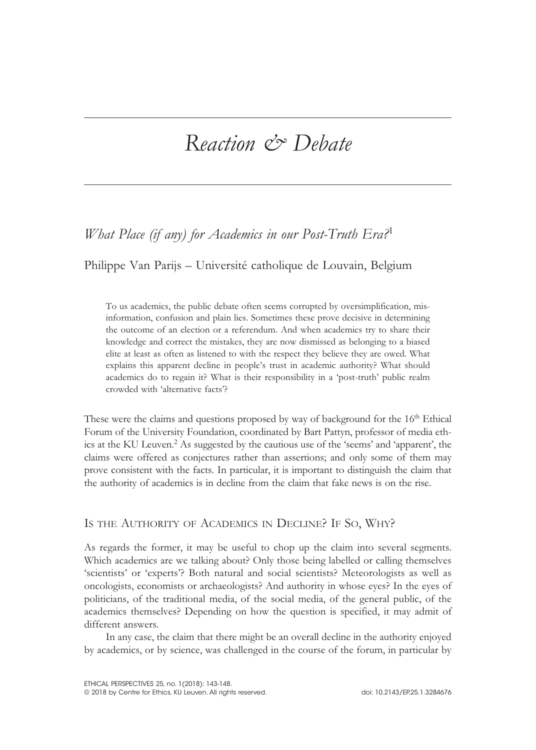# *Reaction & Debate*

# *What Place (if any) for Academics in our Post-Truth Era?*<sup>1</sup>

Philippe Van Parijs – Université catholique de Louvain, Belgium

To us academics, the public debate often seems corrupted by oversimplification, misinformation, confusion and plain lies. Sometimes these prove decisive in determining the outcome of an election or a referendum. And when academics try to share their knowledge and correct the mistakes, they are now dismissed as belonging to a biased elite at least as often as listened to with the respect they believe they are owed. What explains this apparent decline in people's trust in academic authority? What should academics do to regain it? What is their responsibility in a 'post-truth' public realm crowded with 'alternative facts'?

These were the claims and questions proposed by way of background for the 16<sup>th</sup> Ethical Forum of the University Foundation, coordinated by Bart Pattyn, professor of media ethics at the KU Leuven.<sup>2</sup> As suggested by the cautious use of the 'seems' and 'apparent', the claims were offered as conjectures rather than assertions; and only some of them may prove consistent with the facts. In particular, it is important to distinguish the claim that the authority of academics is in decline from the claim that fake news is on the rise.

# Is the Authority of Academics in Decline? If So, Why?

As regards the former, it may be useful to chop up the claim into several segments. Which academics are we talking about? Only those being labelled or calling themselves 'scientists' or 'experts'? Both natural and social scientists? Meteorologists as well as oncologists, economists or archaeologists? And authority in whose eyes? In the eyes of politicians, of the traditional media, of the social media, of the general public, of the academics themselves? Depending on how the question is specified, it may admit of different answers.

In any case, the claim that there might be an overall decline in the authority enjoyed by academics, or by science, was challenged in the course of the forum, in particular by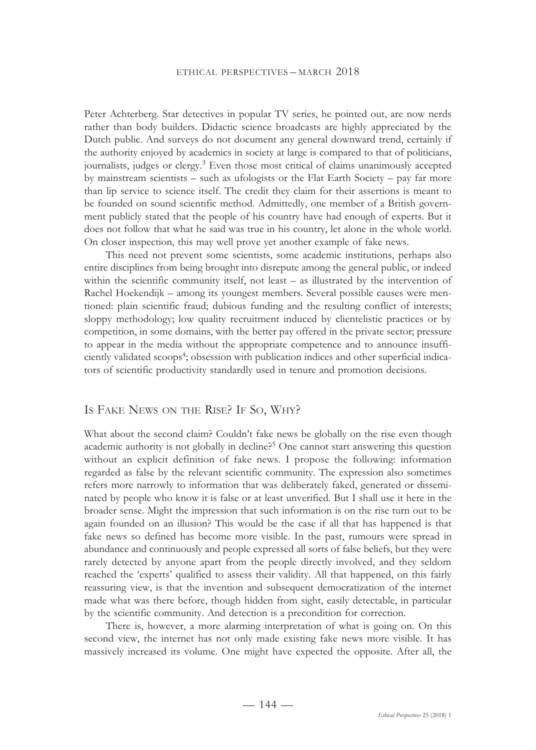Peter Achterberg. Star detectives in popular TV series, he pointed out, are now nerds rather than body builders. Didactic science broadcasts are highly appreciated by the Dutch public. And surveys do not document any general downward trend, certainly if the authority enjoyed by academics in society at large is compared to that of politicians, journalists, judges or clergy.<sup>3</sup> Even those most critical of claims unanimously accepted by mainstream scientists – such as ufologists or the Flat Earth Society – pay far more than lip service to science itself. The credit they claim for their assertions is meant to be founded on sound scientific method. Admittedly, one member of a British government publicly stated that the people of his country have had enough of experts. But it does not follow that what he said was true in his country, let alone in the whole world. On closer inspection, this may well prove yet another example of fake news.

This need not prevent some scientists, some academic institutions, perhaps also entire disciplines from being brought into disrepute among the general public, or indeed within the scientific community itself, not least – as illustrated by the intervention of Rachel Hoekendijk – among its youngest members. Several possible causes were mentioned: plain scientific fraud; dubious funding and the resulting conflict of interests; sloppy methodology; low quality recruitment induced by clientelistic practices or by competition, in some domains, with the better pay offered in the private sector; pressure to appear in the media without the appropriate competence and to announce insufficiently validated scoops<sup>4</sup>; obsession with publication indices and other superficial indicators of scientific productivity standardly used in tenure and promotion decisions.

## Is Fake News on the Rise? If So, Why?

What about the second claim? Couldn't fake news be globally on the rise even though academic authority is not globally in decline?<sup>5</sup> One cannot start answering this question without an explicit definition of fake news. I propose the following: information regarded as false by the relevant scientific community. The expression also sometimes refers more narrowly to information that was deliberately faked, generated or disseminated by people who know it is false or at least unverified. But I shall use it here in the broader sense. Might the impression that such information is on the rise turn out to be again founded on an illusion? This would be the case if all that has happened is that fake news so defined has become more visible. In the past, rumours were spread in abundance and continuously and people expressed all sorts of false beliefs, but they were rarely detected by anyone apart from the people directly involved, and they seldom reached the 'experts' qualified to assess their validity. All that happened, on this fairly reassuring view, is that the invention and subsequent democratization of the internet made what was there before, though hidden from sight, easily detectable, in particular by the scientific community. And detection is a precondition for correction.

There is, however, a more alarming interpretation of what is going on. On this second view, the internet has not only made existing fake news more visible. It has massively increased its volume. One might have expected the opposite. After all, the

 $-144-$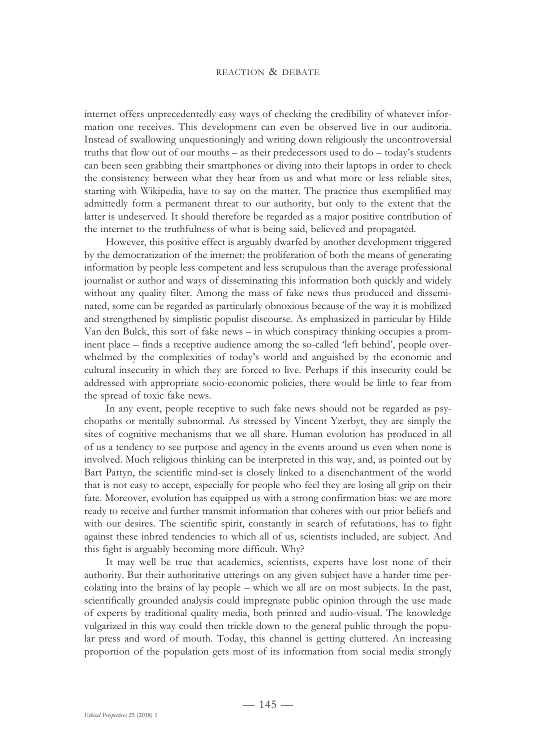internet offers unprecedentedly easy ways of checking the credibility of whatever information one receives. This development can even be observed live in our auditoria. Instead of swallowing unquestioningly and writing down religiously the uncontroversial truths that flow out of our mouths – as their predecessors used to do – today's students can been seen grabbing their smartphones or diving into their laptops in order to check the consistency between what they hear from us and what more or less reliable sites, starting with Wikipedia, have to say on the matter. The practice thus exemplified may admittedly form a permanent threat to our authority, but only to the extent that the latter is undeserved. It should therefore be regarded as a major positive contribution of the internet to the truthfulness of what is being said, believed and propagated.

However, this positive effect is arguably dwarfed by another development triggered by the democratization of the internet: the proliferation of both the means of generating information by people less competent and less scrupulous than the average professional journalist or author and ways of disseminating this information both quickly and widely without any quality filter. Among the mass of fake news thus produced and disseminated, some can be regarded as particularly obnoxious because of the way it is mobilized and strengthened by simplistic populist discourse. As emphasized in particular by Hilde Van den Bulck, this sort of fake news – in which conspiracy thinking occupies a prominent place – finds a receptive audience among the so-called 'left behind', people overwhelmed by the complexities of today's world and anguished by the economic and cultural insecurity in which they are forced to live. Perhaps if this insecurity could be addressed with appropriate socio-economic policies, there would be little to fear from the spread of toxic fake news.

In any event, people receptive to such fake news should not be regarded as psychopaths or mentally subnormal. As stressed by Vincent Yzerbyt, they are simply the sites of cognitive mechanisms that we all share. Human evolution has produced in all of us a tendency to see purpose and agency in the events around us even when none is involved. Much religious thinking can be interpreted in this way, and, as pointed out by Bart Pattyn, the scientific mind-set is closely linked to a disenchantment of the world that is not easy to accept, especially for people who feel they are losing all grip on their fate. Moreover, evolution has equipped us with a strong confirmation bias: we are more ready to receive and further transmit information that coheres with our prior beliefs and with our desires. The scientific spirit, constantly in search of refutations, has to fight against these inbred tendencies to which all of us, scientists included, are subject. And this fight is arguably becoming more difficult. Why?

It may well be true that academics, scientists, experts have lost none of their authority. But their authoritative utterings on any given subject have a harder time percolating into the brains of lay people – which we all are on most subjects. In the past, scientifically grounded analysis could impregnate public opinion through the use made of experts by traditional quality media, both printed and audio-visual. The knowledge vulgarized in this way could then trickle down to the general public through the popular press and word of mouth. Today, this channel is getting cluttered. An increasing proportion of the population gets most of its information from social media strongly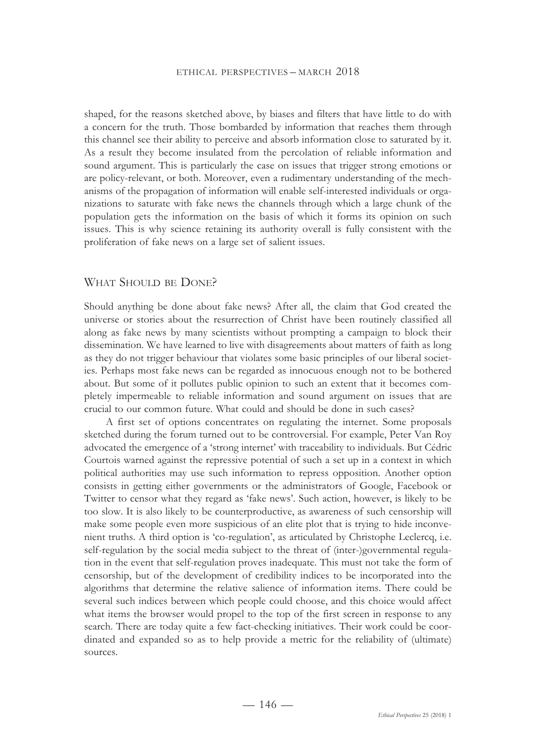#### ethical perspectives – march 2018

shaped, for the reasons sketched above, by biases and filters that have little to do with a concern for the truth. Those bombarded by information that reaches them through this channel see their ability to perceive and absorb information close to saturated by it. As a result they become insulated from the percolation of reliable information and sound argument. This is particularly the case on issues that trigger strong emotions or are policy-relevant, or both. Moreover, even a rudimentary understanding of the mechanisms of the propagation of information will enable self-interested individuals or organizations to saturate with fake news the channels through which a large chunk of the population gets the information on the basis of which it forms its opinion on such issues. This is why science retaining its authority overall is fully consistent with the proliferation of fake news on a large set of salient issues.

# WHAT SHOULD BE DONE?

Should anything be done about fake news? After all, the claim that God created the universe or stories about the resurrection of Christ have been routinely classified all along as fake news by many scientists without prompting a campaign to block their dissemination. We have learned to live with disagreements about matters of faith as long as they do not trigger behaviour that violates some basic principles of our liberal societies. Perhaps most fake news can be regarded as innocuous enough not to be bothered about. But some of it pollutes public opinion to such an extent that it becomes completely impermeable to reliable information and sound argument on issues that are crucial to our common future. What could and should be done in such cases?

A first set of options concentrates on regulating the internet. Some proposals sketched during the forum turned out to be controversial. For example, Peter Van Roy advocated the emergence of a 'strong internet' with traceability to individuals. But Cédric Courtois warned against the repressive potential of such a set up in a context in which political authorities may use such information to repress opposition. Another option consists in getting either governments or the administrators of Google, Facebook or Twitter to censor what they regard as 'fake news'. Such action, however, is likely to be too slow. It is also likely to be counterproductive, as awareness of such censorship will make some people even more suspicious of an elite plot that is trying to hide inconvenient truths. A third option is 'co-regulation', as articulated by Christophe Leclercq, i.e. self-regulation by the social media subject to the threat of (inter-)governmental regulation in the event that self-regulation proves inadequate. This must not take the form of censorship, but of the development of credibility indices to be incorporated into the algorithms that determine the relative salience of information items. There could be several such indices between which people could choose, and this choice would affect what items the browser would propel to the top of the first screen in response to any search. There are today quite a few fact-checking initiatives. Their work could be coordinated and expanded so as to help provide a metric for the reliability of (ultimate) sources.

 $-146-$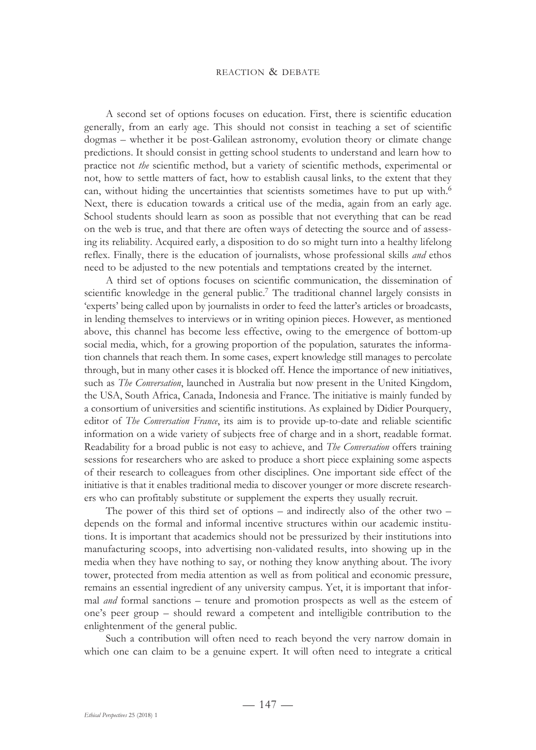#### reaction & debate

A second set of options focuses on education. First, there is scientific education generally, from an early age. This should not consist in teaching a set of scientific dogmas – whether it be post-Galilean astronomy, evolution theory or climate change predictions. It should consist in getting school students to understand and learn how to practice not *the* scientific method, but a variety of scientific methods, experimental or not, how to settle matters of fact, how to establish causal links, to the extent that they can, without hiding the uncertainties that scientists sometimes have to put up with. $6$ Next, there is education towards a critical use of the media, again from an early age. School students should learn as soon as possible that not everything that can be read on the web is true, and that there are often ways of detecting the source and of assessing its reliability. Acquired early, a disposition to do so might turn into a healthy lifelong reflex. Finally, there is the education of journalists, whose professional skills *and* ethos need to be adjusted to the new potentials and temptations created by the internet.

A third set of options focuses on scientific communication, the dissemination of scientific knowledge in the general public.<sup>7</sup> The traditional channel largely consists in 'experts' being called upon by journalists in order to feed the latter's articles or broadcasts, in lending themselves to interviews or in writing opinion pieces. However, as mentioned above, this channel has become less effective, owing to the emergence of bottom-up social media, which, for a growing proportion of the population, saturates the information channels that reach them. In some cases, expert knowledge still manages to percolate through, but in many other cases it is blocked off. Hence the importance of new initiatives, such as *The Conversation*, launched in Australia but now present in the United Kingdom, the USA, South Africa, Canada, Indonesia and France. The initiative is mainly funded by a consortium of universities and scientific institutions. As explained by Didier Pourquery, editor of *The Conversation France*, its aim is to provide up-to-date and reliable scientific information on a wide variety of subjects free of charge and in a short, readable format. Readability for a broad public is not easy to achieve, and *The Conversation* offers training sessions for researchers who are asked to produce a short piece explaining some aspects of their research to colleagues from other disciplines. One important side effect of the initiative is that it enables traditional media to discover younger or more discrete researchers who can profitably substitute or supplement the experts they usually recruit.

The power of this third set of options – and indirectly also of the other two – depends on the formal and informal incentive structures within our academic institutions. It is important that academics should not be pressurized by their institutions into manufacturing scoops, into advertising non-validated results, into showing up in the media when they have nothing to say, or nothing they know anything about. The ivory tower, protected from media attention as well as from political and economic pressure, remains an essential ingredient of any university campus. Yet, it is important that informal *and* formal sanctions – tenure and promotion prospects as well as the esteem of one's peer group – should reward a competent and intelligible contribution to the enlightenment of the general public.

Such a contribution will often need to reach beyond the very narrow domain in which one can claim to be a genuine expert. It will often need to integrate a critical